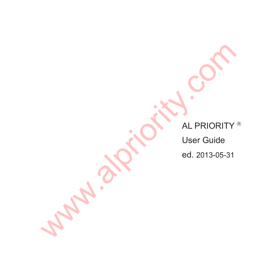AL PRIORITY<sup>®</sup> WW.alpriority.com

User Guide

ed. 2013-05-31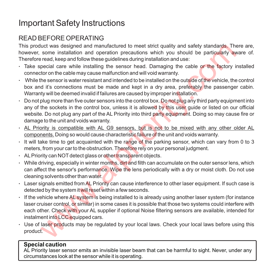# Important Safety Instructions

# READ BEFORE OPERATING

This product was designed and manufactured to meet strict quality and safety standards. There are, however, some installation and operation precautions which you should be particularly aware of. Therefore read, keep and follow these guidelines during installation and use:

- Take special care while installing the sensor head. Damaging the cable or the factory installed connector on the cable may cause malfunction and will void warranty.
- $\cdot$  While the sensor is water resistant and intended to be installed on the outside of the vehicle, the control box and it's connections must be made and kept in a dry area, preferably the passenger cabin. Warranty will be deemed invalid if failures are caused by improper installation.
- $\cdot$  Do not plug more than five outer sensors into the control box. Do not plug any third party equipment into any of the sockets in the control box, unless it is allowed by this user guide or listed on our official website. Do not plug any part of the AL Priority into third party equipment. Doing so may cause fire or damage to the unit and voids warranty.
- AL Priority is compatible with AL G9 sensors, but is not to be mixed with any other older AL components. Doing so would cause characteristic failure of the unit and voids warranty.
- $\cdot$  It will take time to get acquainted with the range of the parking sensor, which can vary from 0 to 3 meters, from your car to the obstruction. Therefore rely on your personal judgment.
- ALPriority can NOTdetect glass or other transparent objects.
- While driving, especially in winter months, dirt and filth can accumulate on the outer sensor lens, which can affect the sensor's performance. Wipe the lens periodically with a dry or moist cloth. Do not use cleaning solvents other than water.
- Laser signals emitted from AL Priority can cause interference to other laser equipment. If such case is detected by the system it will reset within a few seconds.
- If the vehicle where AL system is being installed to is already using another laser system (for instance laser cruiser control, or similar) in some cases it is possible that those two systems could interfere with each other. Check with your AL supplier if optional Noise filtering sensors are available, intended for instalment into LCC equipped cars. the steigned and manufactured to meet strict quality and safety standards. The some installation and operation precautions which you should be particularly ave read, keep and follow these guidelines during installation and
- Use of laser products may be regulated by your local laws. Check your local laws before using this product.

#### **Special caution**

AL Priority laser sensor emits an invisible laser beam that can be harmful to sight. Never, under any circumstances look at the sensor while it is operating.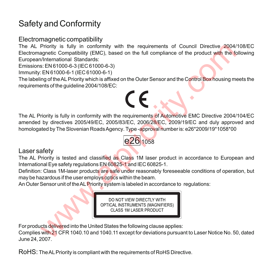# Safety and Conformity

## Electromagnetic compatibility

The AL Priority is fully in conformity with the requirements of Council Directive 2004/108/EC Electromagnetic Compatibility (EMC), based on the full compliance of the product with the following European/International Standards:

Emissions: EN 61000-6-3 (IEC 61000-6-3)

Immunity: EN 61000-6-1 (IEC 61000-6-1)

The labeling of the AL Priority which is affixed on the Outer Sensor and the Control Box housing meets the requirements of the guideline 2004/108/EC:

# The AL Priority is fully in conformity with the requirements of Automotive EMC Directive 2004/104/EC amended by directives 2005/49/EC, 2005/83/EC, 2006/28/EC, 2009/19/EC and duly approved and homologated by The Slovenian Roads Agency. Type -approval number is: e26\*2009/19\*1058\*00 Priority is fully in conformity with the requirements of Council Directive 2004/<br>
Signetic Compatibility (EMC), based on the full compliance of the product with the form different compatibility (EMC), based on the full com



## Laser safety

The AL Priority is tested and classified as Class 1M laser product in accordance to European and International Eye safety regulations EN 60825-1 and IEC 60825-1.

Definition: Class 1M-laser products are safe under reasonably foreseeable conditions of operation, but may be hazardous if the user employs optics within the beam.

An Outer Sensor unit of the ALPriority system is labeled in accordance to regulations:

For products delivered into the United States the following clause applies:

Complies with 21 CFR 1040.10 and 1040.11 except for deviations pursuant to Laser Notice No. 50, dated June 24, 2007.

RoHS: The ALPriority is compliant with the requirements of RoHS Directive.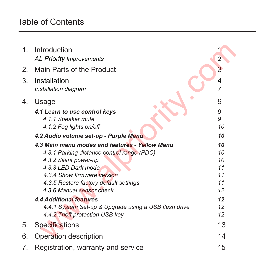# Table of Contents

| 1. | Introduction                                          |                |
|----|-------------------------------------------------------|----------------|
|    | <b>AL Priority Improvements</b>                       | $\overline{2}$ |
| 2. | Main Parts of the Product                             | 3              |
| 3. | Installation                                          | 4              |
|    | Installation diagram                                  | 7              |
| 4. | Usage                                                 | 9              |
|    | 4.1 Learn to use control keys                         | 9              |
|    | 4.1.1 Speaker mute                                    | 9              |
|    | 4.1.2 Fog lights on/off                               | 10             |
|    | 4.2 Audio volume set-up - Purple Menu                 | 10             |
|    | 4.3 Main menu modes and features - Yellow Menu        | 10             |
|    | 4.3.1 Parking distance control range (PDC)            | 10             |
|    | 4.3.2 Silent power-up                                 | 10             |
|    | 4.3.3 LED Dark mode                                   | 11             |
|    | 4.3.4 Show firmware version                           | 11             |
|    | 4.3.5 Restore factory default settings                | 11             |
|    | 4.3.6 Manual sensor check                             | 12             |
|    | <b>4.4 Additional features</b>                        | 12             |
|    | 4.4.1 System Set-up & Upgrade using a USB flash drive | 12             |
|    | 4.4.2 Theft protection USB key                        | 12             |
| 5. | Specifications                                        | 13             |
| 6. | Operation description                                 | 14             |
| 7. | Registration, warranty and service                    | 15             |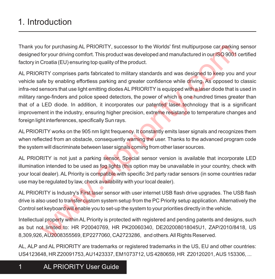# 1. Introduction

Thank you for purchasing AL PRIORITY, successor to the Worlds' first multipurpose car parking sensor designed for your driving comfort. This product was developed and manufactured in our ISO 9001 certified factory in Croatia (EU) ensuring top quality of the product.

AL PRIORITY comprises parts fabricated to military standards and was designed to keep you and your vehicle safe by enabling effortless parking and greater confidence while driving. As opposed to classic infra-red sensors that use light emitting diodes AL PRIORITY is equipped with a laser diode that is used in military range-finders and police speed detectors, the power of which is one hundred times greater than that of a LED diode. In addition, it incorporates our patented laser technology that is a significant improvement in the industry, ensuring higher precision, extreme resistance to temperature changes and foreign light interferences, specifically Sun rays. to for purchasing AL PRIORITY, successor to the Worlds' first multipurpose car parkinty for your driving comfort. This product was developed and manufactured in our ISO 9001 Cround rifustion (This product was developed and

AL PRIORITY works on the 905 nm light frequency. It constantly emits laser signals and recognizes them when reflected from an obstacle, consequently warning the user. Thanks to the advanced program code the system will discriminate between laser signals coming from other laser sources.

AL PRIORITY is not just a parking sensor. Special sensor version is available that incorporate LED illumination intended to be used as fog lights (this option may be unavailable in your country, check with your local dealer). AL Priority is compatible with specific 3rd party radar sensors (in some countries radar use may be regulated by law, check availability with your local dealer).

AL PRIORITY is Industry's First laser sensor with user internet USB flash drive upgrades. The USB flash drive is also used to transfer custom system setup from the PC Priority setup application. Alternatively the Control set keyboard will enable you to set-up the system to your priorities directly in the vehicle.

Intellectual property within AL Priority is protected with registered and pending patents and designs, such as but not limited to: HR P20040769, HR PK20060340, DE202008018045U1, ZAP/2010/8418, US 8,309,926, AU2008355569, EP2277060, CA2723286, and others. All Rights Reserved.

AL, ALP and AL PRIORITY are trademarks or registered trademarks in the US, EU and other countries: US4123648, HR Z20091753, AU1423337, EM1073712, US 4280659, HR Z20120201, AUS 153306, ...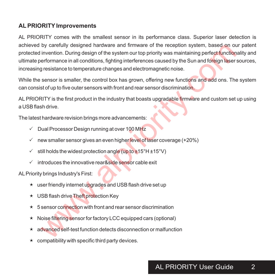#### **ALPRIORITY Improvements**

AL PRIORITY comes with the smallest sensor in its performance class. Superior laser detection is achieved by carefully designed hardware and firmware of the reception system, based on our patent protected invention. During design of the system our top priority was maintaining perfect functionality and ultimate performance in all conditions, fighting interferences caused by the Sun and foreign laser sources, increasing resistance to temperature changes and electromagnetic noise. by carefully designed hardware and firmware of the reception system, based on ot<br>invention. During design of the system or top priority was maintaining perfect function<br>inferimence in all conditions, fighting interferences

While the sensor is smaller, the control box has grown, offering new functions and add ons. The system can consist of up to five outer sensors with front and rear sensor discrimination.

AL PRIORITY is the first product in the industry that boasts upgradable firmware and custom set up using a USB flash drive.

The latest hardware revision brings more advancements:

- $\checkmark$  Dual Processor Design running at over 100 MHz
- $\checkmark$  new smaller sensor gives an even higher level of laser coverage (+20%)
- $\checkmark$  still holds the widest protection angle (up to  $\pm$ 15°H  $\pm$ 15°V)
- $\checkmark$  introduces the innovative rear&side sensor cable exit

ALPriority brings Industry's First:

- $\star$  user friendly internet upgrades and USB flash drive set up
- \* USB flash drive Theft protection Key
- 5 sensor connection with front and rear sensor discrimination  $\star$
- \* Noise filtering sensor for factory LCC equipped cars (optional)
- advanced self-test function detects disconnection or malfunction  $\star$
- $\star$  compatibility with specific third party devices.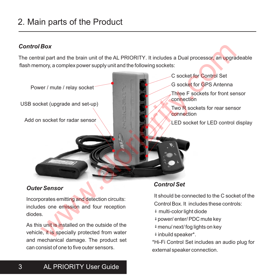# 2. Main parts of the Product

#### *Control Box*

The central part and the brain unit of the AL PRIORITY. It includes a Dual processor, an upgradeable flash memory, a complex power supply unit and the following sockets:



#### *Outer Sensor*

Incorporates emitting and detection circuits: includes one emission and four reception diodes.

As this unit is installed on the outside of the vehicle, it is specially protected from water and mechanical damage. The product set can consist of one to five outer sensors.

#### *Control Set*

- It should be connected to the C socket of the Control Box. It includes these controls: multi-color light diode power/ enter/ PDC mute key
	- menu/ next/ fog lights on key inbuild speaker\*.

\*Hi-Fi Control Set includes an audio plug for external speaker connection.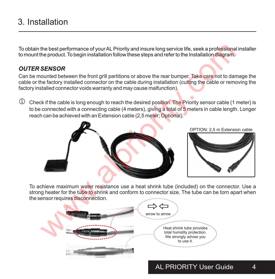# 3. Installation

To obtain the best performance of your ALPriority and insure long service life, seek a professional installer to mount the product. To begin installation follow these steps and refer to the Installation diagram.

#### *OUTER SENSOR*

Can be mounted between the front grill partitions or above the rear bumper. Take care not to damage the cable or the factory installed connector on the cable during installation (cutting the cable or removing the factory installed connector voids warranty and may cause malfunction).

 $\mathbb D$  Check if the cable is long enough to reach the desired position. The Priority sensor cable (1 meter) is to be connected with a connecting cable (4 meters), giving a total of 5 meters in cable length. Longer reach can be achieved with an Extension cable (2,5 meter; Optional).



OPTION: 2,5 m Extension cable



To achieve maximum water resistance use a heat shrink tube (included) on the connector. Use a strong heater for the tu<mark>be to</mark> shrink and conform to connector size. The tube can be torn apart when the sensor requires disconnection.

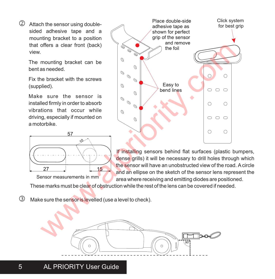$Q$  Attach the sensor using doublesided adhesive tape and a mounting bracket to a position that offers a clear front (back) view.

> The mounting bracket can be bent as needed.

> Fix the bracket with the screws (supplied).

> Make sure the sensor is installed firmly in order to absorb vibrations that occur while driving, especially if mounted on a motorbike.



Sensor measurements in mm

If installing sensors behind flat surfaces (plastic bumpers, dense grills) it will be necessary to drill holes through which the sensor will have an unobstructed view of the road. Acircle and an ellipse on the sketch of the sensor lens represent the area where receiving and emitting diodes are positioned.

Place double-side adhesive tape as shown for perfect grip of the sensor

Click system for best grip

These marks must be clear of obstruction while the rest of the lens can be covered if needed.

**3** Make sure the sensor is levelled (use a level to check).

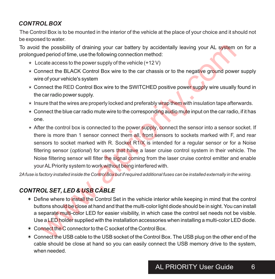# *CONTROL BOX*

The Control Box is to be mounted in the interior of the vehicle at the place of your choice and it should not be exposed to water.

To avoid the possibility of draining your car battery by accidentally leaving your AL system on for a prolongued period of time, use the following connection method:

- $\star$  Locate access to the power supply of the vehicle (+12 V)
- \* Connect the BLACK Control Box wire to the car chassis or to the negative ground power supply wire of your vehicle's system
- $\star$  Connect the RED Control Box wire to the SWITCHED positive power supply wire usually found in the car radio power supply.
- $\star$  Insure that the wires are properly locked and preferably wrap them with insulation tape afterwards.
- $\star$  Connect the blue car radio mute wire to the corresponding audio mute input on the car radio, if it has one.
- $\star$  After the control box is connected to the power supply, connect the sensor into a sensor socket. If there is more than 1 sensor connect them all, front sensors to sockets marked with F, and rear sensors to socket marked with R. Socket R1/X is intended for a regular sensor or for a Noise filtering sensor (*optional*) for users that have a laser cruise control system in their vehicle. The Noise filtering sensor will filter the signal coming from the laser cruise control emitter and enable your AL Priority system to work without being interfered with. the possibility of draining your car battery by accidentally leaving your AL system<br>deperiod of time, use the following connection method:<br>cate access to the persumply of the vehicle (+12V)<br>mnect the BLACK Control Box wire

*2Afuse is factory installed inside the Control Box but if required additional fuses can be installed externally in the wiring.*

# *CONTROLSET, LED & USB CABLE*

- ë Define where to install the Control Set in the vehicle interior while keeping in mind that the control buttons should be close at hand and that the multi-color light diode should be in sight. You can install a separate multi-color LED for easier visibility, in which case the control set needs not be visible. Use a LED holder supplied with the installation accessories when installing a multi-color LED diode.
- $\ast$  Connect the C connector to the C socket of the Control Box.
- ë Connect the USB cable to the USB socket of the Control Box. The USB plug on the other end of the cable should be close at hand so you can easily connect the USB memory drive to the system, when needed.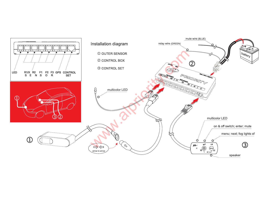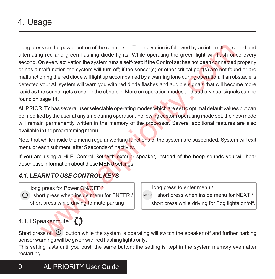# 4. Usage

Long press on the power button of the control set. The activation is followed by an intermittent sound and alternating red and green flashing diode lights. While operating the green light will flash once every second. On every activation the system runs a self-test: if the Control set has not been connected properly or has a malfunction the system will turn off; if the sensor(s) or other critical port(s) are not found or are malfunctioning the red diode will light up accompanied by a warning tone during operation. If an obstacle is detected your AL system will warn you with red diode flashes and audible signals that will become more rapid as the sensor gets closer to the obstacle. More on operation modes and audio-visual signals can be found on page 14. is on the power button of the control set. The activation is followed by an intermittent sc<br>
or ed and green flashing diode lights. While operating the green light will flash on<br>
On every activation the system runs aself-t

ALPRIORITY has several user selectable operating modes which are set to optimal default values but can be modified by the user at any time during operation. Following custom operating mode set, the new mode will remain permanently written in the memory of the processor. Several additional features are also available in the programming menu.

Note that while inside the menu regular working functions of the system are suspended. System will exit menu or each submenu after 5 seconds of inactivity.

If you are using a Hi-Fi Control Set with exterior speaker, instead of the beep sounds you will hear descriptive information about these MENU settings.

## *4.1. LEARN TO USE CONTROL KEYS*

 long press for Power ON/OFF / O short press when inside menu for ENTER / short press while driving to mute parking

long press to enter menu /

short press when inside menu for NEXT /

short press while driving for Fog lights on/off.

## 4.1.1 Speaker mute

Short press of  $\Omega$  button while the system is operating will switch the speaker off and further parking sensor warnings will be given with red flashing lights only.

This setting lasts until you push the same button; the setting is kept in the system memory even after restarting.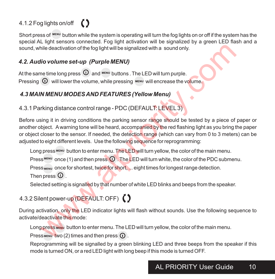# 4.1.2 Fog lights on/off



Short press of  $^{�}$  button while the system is operating will turn the fog lights on or off if the system has the special AL light sensors connected. Fog light activation will be signalized by a green LED flash and a sound, while deactivation of the fog light will be signalized with a sound only.

## *4.2. Audio volume set-up (Purple MENU)*

At the same time long press  $\Phi$  and  $^{MENU}$  buttons . The LED will turn purple. Pressing  $\Omega$  will lower the volume, while pressing  $M_{\text{F}}$  will encrease the volume.

# *4.3 MAIN MENU MODES AND FEATURES (Yellow Menu)*

4.3.1 Parking distance control range - PDC (DEFAULT: LEVEL3)

Before using it in driving conditions the parking sensor range should be tested by a piece of paper or another object. Awarning tone will be heard, accompanied by the red flashing light as you bring the paper or object closer to the sensor. If needed, the detection range (which can vary from 0 to 3 meters) can be adjusted to eight different levels. Use the following sequence for reprogramming: hile deactivation of the fog light will be signalized with a sound only.<br> **Ifo volume set-up (Purple MENU)**<br> **Ifo volume set-up (Purple MENU)**<br> **O** will lower the volume, while pressing weav will encrease the volume.<br> **NME** 

Long press MENU button to enter menu. The LED will turn yellow, the color of the main menu.

Press  $^{MENU}$  once (1) and then press  $\Omega$ . The LED will turn white, the color of the PDC submenu.

Press MENIL ONCE for shortest, twice for short, ... eight times for longest range detection.

Then press  $\mathbf 0$ .

Selected setting is signalled by that number of white LED blinks and beeps from the speaker.

# 4.3.2 Silent power-up (DEFAULT: OFF) ()

During activation, only the LED indicator lights will flash without sounds. Use the following sequence to activate/deactivate this mode:

Long press MENU button to enter menu. The LED will turn yellow, the color of the main menu.

Press MENU two (2) times and then press  $\Omega$ .

Reprogramming will be signalled by a green blinking LED and three beeps from the speaker if this mode is turned ON, or a red LED light with long beep if this mode is turned OFF.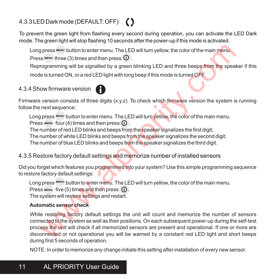# 4.3.3 LED Dark mode (DEFAULT: OFF) (

To prevent the green light from flashing every second during operation, you can activate the LED Dark mode. The green light will stop flashing 10 seconds after the power-up if this mode is activated.

Long press MENU button to enter menu. The LED will turn yellow, the color of the main menu.

Press  $MENU$  three (3) times and then press  $\overline{O}$ .

Reprogramming will be signalled by a green blinking LED and three beeps from the speaker if this mode is turned ON, or a red LED light with long beep if this mode is turned OFF.

## 4.3.4 Show firmware version

Firmware version consists of three digits (x.y.z). To check which firmware version the system is running follow the next sequence:

Long press MENU button to enter menu. The LED will turn yellow, the color of the main menu.

Press  $MENU$  four (4) times and then press  $\Omega$ .

The number of red LED blinks and beeps from the speaker signalizes the first digit:

The number of white LED blinks and beeps from th<mark>e</mark> speaker signalizes the second digit;

The number of blue LED blinks and beeps f<mark>ro</mark>m the speaker signalizes the third digit.

#### 4.3.5 Restore factory default settings a<mark>n</mark>d memorize number of installed sensors

Did you forget which features you programmed into your system? Use this simple programming sequence to restore factory default settings:

Long press MENU button to enter menu. The LED will turn yellow, the color of the main menu.

Press  $MENU$  five (5) times and then press  $\Omega$ .

The system will restore settings and restart.

#### **Automatic sensor check**

While restoring factory default settings the unit will count and memorize the number of sensors connected to the system as well as their positions. On each subsequent power-up during the self-test process the unit will check if all memorized sensors are present and operational. If one or more are disconnected or not operational you will be warned by a constant red LED light and short beeps during first 5 seconds of operation. press <sup>www.</sup> button to enter menu. The LED will turn yellow, the color of the main menu.<br>
sig wew three (3) times and then press  $\overline{O}$ .<br>
corgramming will be signalled by a green blinking LED and three beeps from the spe

NOTE: In order to memorize any change initiate this setting after installation of every new sensor.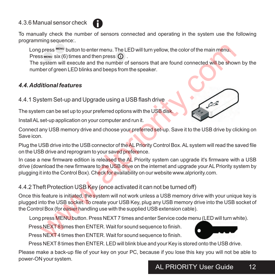## 4.3.6 Manual sensor check

To manually check the number of sensors connected and operating in the system use the following programming sequence: .

Long press MENU button to enter menu. The LED will turn yellow, the color of the main menu. Press MENU SIX (6) times and then press  $\Omega$ .

The system will execute and the number of sensors that are found connected will be shown by the number of green LED blinks and beeps from the speaker.

# *4.4. Additional features*

4.4.1 System Set-up and Upgrade using a USB flash drive

The system can be set up to your preferred options with the USB disk.

Install ALset-up application on your computer and run it.



Plug the USB drive into the USB connector of the AL Priority Control Box. AL system will read the saved file on the USB drive and reprogram to your saved preference.

In case a new firmware edition is released the AL Priority system can upgrade it's firmware with a USB drive (download the new firmware to the USB drive on the internet and upgrade your AL Priority system by plugging it into the Control Box). Check for availability on our website www.alpriority.com. press were six (6) times and then press (0).<br>
Seven wisit (6) times and then press (0).<br>
Sevent Will be shown six (6) times and then press (0).<br>
System will execute and the number of sensors that are found connected will b

# 4.4.2 Theft Protection USB Key (once activated it can not be turned off)

Once this feature is initiated, the system will not work unless a USB memory drive with your unique key is plugged into the USB socket. To create your USB Key, plug any USB memory drive into the USB socket of the Control Box (for easier handling use with the supplied USB extension cable).

Long press MENU button. Press NEXT7 times and enter Service code menu (LED will turn white).

Press NEXT8 times then ENTER. Wait for sound sequence to finish.

Press NEXT 4 times then ENTER. Wait for sound sequence to finish.

Press NEXT8 times then ENTER. LED will blink blue and your Key is stored onto the USB drive.

Please make a back-up file of your key on your PC, because if you lose this key you will not be able to power-ON your system.





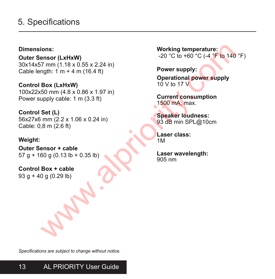# 5. Specifications

#### **Dimensions:**

**Outer Sensor (LxHxW)** 30x14x57 mm (1.18 x 0.55 x 2.24 in) Cable length:  $1 m + 4 m (16.4 ft)$ 

**Control Box (LxHxW)** 100x22x50 mm (4.8 x 0.86 x 1.97 in) Power supply cable: 1 m (3.3 ft)

**Control Set (L)** 56x27x6 mm (2.2 x 1.06 x 0.24 in) Cable: 0,8 m (2.6 ft)

#### **Weight:**

**Outer Sensor + cable** 57 g + 160 g (0.13 lb + 0.35 lb)

**Control Box + cable** 93 g + 40 g (0.29 lb)

**Working temperature:** -20 °C to +60 °C (-4 °F to 140 °F)

**Power supply: Operational power supply** 10 V to 17  $V$ ions:<br>
working temperature:<br>
ensor (LxHxW)<br>  $20 °C$  to +60°C (-4°F to 140<br>
mgH: 1 m + 4 m (16.4 ft)<br>
Box (LxHxW)<br>  $80 \times (LxHxW)$ <br>  $50 \text{ mm } (4.8 \times 0.86 \times 1.97 \text{ in})$ <br>  $(4.8 \times 0.86 \times 1.97 \text{ in})$ <br>  $(4.8 \times 0.86 \times 1.97 \text{ in})$ <br>  $(50 \$ 

**Current consumption** 1500 mA, max.

**Speaker loudness:** 93 dB min SPL@10cm

**Laser class:** 1M

**Laser wavelength:** 905 nm

*Specifications are subject to change without notice.*